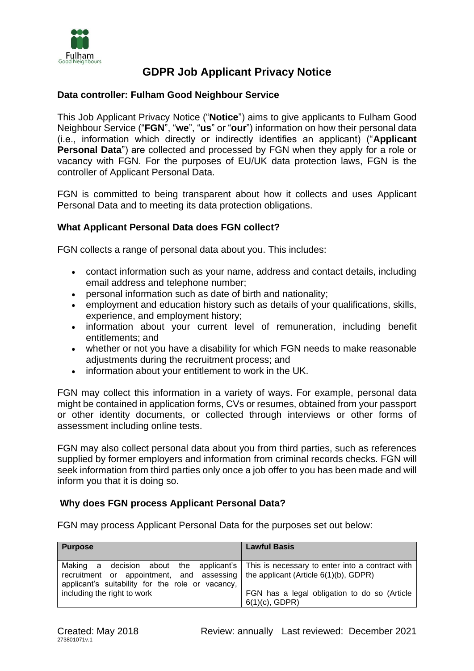

# **GDPR Job Applicant Privacy Notice**

# **Data controller: Fulham Good Neighbour Service**

This Job Applicant Privacy Notice ("**Notice**") aims to give applicants to Fulham Good Neighbour Service ("**FGN**", "**we**", "**us**" or "**our**") information on how their personal data (i.e., information which directly or indirectly identifies an applicant) ("**Applicant Personal Data**") are collected and processed by FGN when they apply for a role or vacancy with FGN. For the purposes of EU/UK data protection laws, FGN is the controller of Applicant Personal Data.

FGN is committed to being transparent about how it collects and uses Applicant Personal Data and to meeting its data protection obligations.

# **What Applicant Personal Data does FGN collect?**

FGN collects a range of personal data about you. This includes:

- contact information such as your name, address and contact details, including email address and telephone number;
- personal information such as date of birth and nationality;
- employment and education history such as details of your qualifications, skills, experience, and employment history;
- information about your current level of remuneration, including benefit entitlements; and
- whether or not you have a disability for which FGN needs to make reasonable adjustments during the recruitment process; and
- information about your entitlement to work in the UK.

FGN may collect this information in a variety of ways. For example, personal data might be contained in application forms, CVs or resumes, obtained from your passport or other identity documents, or collected through interviews or other forms of assessment including online tests.

FGN may also collect personal data about you from third parties, such as references supplied by former employers and information from criminal records checks. FGN will seek information from third parties only once a job offer to you has been made and will inform you that it is doing so.

## **Why does FGN process Applicant Personal Data?**

FGN may process Applicant Personal Data for the purposes set out below:

| <b>Purpose</b>                                                                                                                                                                                                                      | <b>Lawful Basis</b>                                               |
|-------------------------------------------------------------------------------------------------------------------------------------------------------------------------------------------------------------------------------------|-------------------------------------------------------------------|
| Making a decision about the applicant's   This is necessary to enter into a contract with<br>recruitment or appointment, and assessing the applicant (Article $6(1)(b)$ , GDPR)<br>applicant's suitability for the role or vacancy, |                                                                   |
| including the right to work                                                                                                                                                                                                         | FGN has a legal obligation to do so (Article<br>$6(1)(c)$ , GDPR) |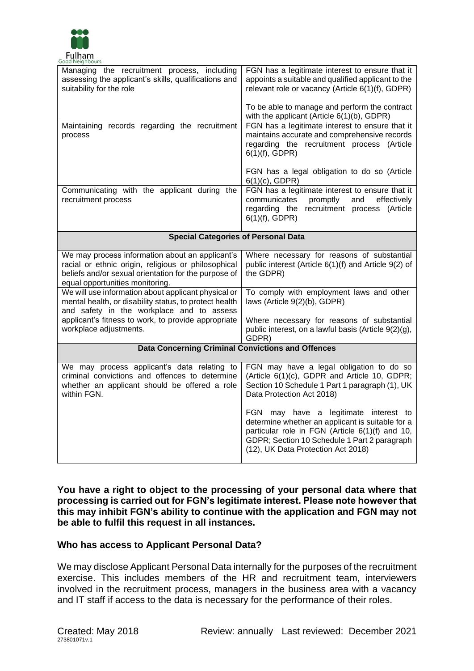

| Good Neighbours                                                                                                                                                                                   |                                                                                                                                                                                                                                    |
|---------------------------------------------------------------------------------------------------------------------------------------------------------------------------------------------------|------------------------------------------------------------------------------------------------------------------------------------------------------------------------------------------------------------------------------------|
| Managing the recruitment process, including<br>assessing the applicant's skills, qualifications and<br>suitability for the role                                                                   | FGN has a legitimate interest to ensure that it<br>appoints a suitable and qualified applicant to the<br>relevant role or vacancy (Article 6(1)(f), GDPR)                                                                          |
|                                                                                                                                                                                                   | To be able to manage and perform the contract<br>with the applicant (Article 6(1)(b), GDPR)                                                                                                                                        |
| Maintaining records regarding the recruitment<br>process                                                                                                                                          | FGN has a legitimate interest to ensure that it<br>maintains accurate and comprehensive records<br>regarding the recruitment process (Article<br>$6(1)(f)$ , GDPR)                                                                 |
|                                                                                                                                                                                                   | FGN has a legal obligation to do so (Article<br>$6(1)(c)$ , GDPR)                                                                                                                                                                  |
| Communicating with the applicant during the<br>recruitment process                                                                                                                                | FGN has a legitimate interest to ensure that it<br>effectively<br>communicates<br>promptly<br>and<br>regarding the recruitment process (Article<br>$6(1)(f)$ , GDPR)                                                               |
| <b>Special Categories of Personal Data</b>                                                                                                                                                        |                                                                                                                                                                                                                                    |
| We may process information about an applicant's<br>racial or ethnic origin, religious or philosophical<br>beliefs and/or sexual orientation for the purpose of<br>equal opportunities monitoring. | Where necessary for reasons of substantial<br>public interest (Article 6(1)(f) and Article 9(2) of<br>the GDPR)                                                                                                                    |
| We will use information about applicant physical or<br>mental health, or disability status, to protect health<br>and safety in the workplace and to assess                                        | To comply with employment laws and other<br>laws (Article 9(2)(b), GDPR)                                                                                                                                                           |
| applicant's fitness to work, to provide appropriate<br>workplace adjustments.                                                                                                                     | Where necessary for reasons of substantial<br>public interest, on a lawful basis (Article 9(2)(g),<br>GDPR)                                                                                                                        |
| <b>Data Concerning Criminal Convictions and Offences</b>                                                                                                                                          |                                                                                                                                                                                                                                    |
| We may process applicant's data relating to<br>criminal convictions and offences to determine<br>whether an applicant should be offered a role<br>within FGN.                                     | FGN may have a legal obligation to do so<br>(Article 6(1)(c), GDPR and Article 10, GDPR;<br>Section 10 Schedule 1 Part 1 paragraph (1), UK<br>Data Protection Act 2018)                                                            |
|                                                                                                                                                                                                   | FGN may have a legitimate interest to<br>determine whether an applicant is suitable for a<br>particular role in FGN (Article 6(1)(f) and 10,<br>GDPR; Section 10 Schedule 1 Part 2 paragraph<br>(12), UK Data Protection Act 2018) |

**You have a right to object to the processing of your personal data where that processing is carried out for FGN's legitimate interest. Please note however that this may inhibit FGN's ability to continue with the application and FGN may not be able to fulfil this request in all instances.**

## **Who has access to Applicant Personal Data?**

We may disclose Applicant Personal Data internally for the purposes of the recruitment exercise. This includes members of the HR and recruitment team, interviewers involved in the recruitment process, managers in the business area with a vacancy and IT staff if access to the data is necessary for the performance of their roles.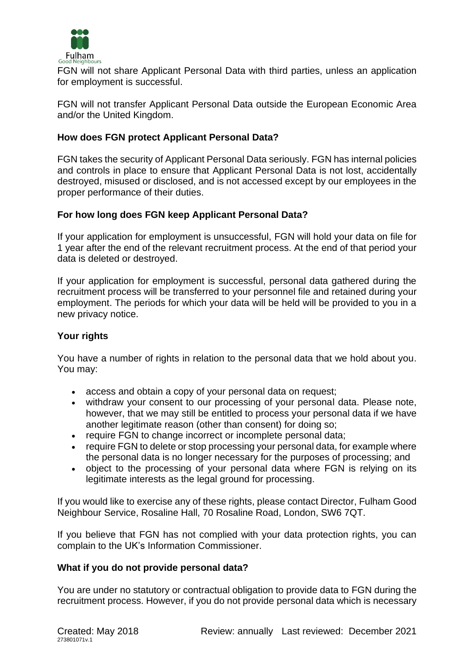

FGN will not share Applicant Personal Data with third parties, unless an application for employment is successful.

FGN will not transfer Applicant Personal Data outside the European Economic Area and/or the United Kingdom.

# **How does FGN protect Applicant Personal Data?**

FGN takes the security of Applicant Personal Data seriously. FGN has internal policies and controls in place to ensure that Applicant Personal Data is not lost, accidentally destroyed, misused or disclosed, and is not accessed except by our employees in the proper performance of their duties.

# **For how long does FGN keep Applicant Personal Data?**

If your application for employment is unsuccessful, FGN will hold your data on file for 1 year after the end of the relevant recruitment process. At the end of that period your data is deleted or destroyed.

If your application for employment is successful, personal data gathered during the recruitment process will be transferred to your personnel file and retained during your employment. The periods for which your data will be held will be provided to you in a new privacy notice.

## **Your rights**

You have a number of rights in relation to the personal data that we hold about you. You may:

- access and obtain a copy of your personal data on request;
- withdraw your consent to our processing of your personal data. Please note, however, that we may still be entitled to process your personal data if we have another legitimate reason (other than consent) for doing so;
- require FGN to change incorrect or incomplete personal data;
- require FGN to delete or stop processing your personal data, for example where the personal data is no longer necessary for the purposes of processing; and
- object to the processing of your personal data where FGN is relying on its legitimate interests as the legal ground for processing.

If you would like to exercise any of these rights, please contact Director, Fulham Good Neighbour Service, Rosaline Hall, 70 Rosaline Road, London, SW6 7QT.

If you believe that FGN has not complied with your data protection rights, you can complain to the UK's Information Commissioner.

## **What if you do not provide personal data?**

You are under no statutory or contractual obligation to provide data to FGN during the recruitment process. However, if you do not provide personal data which is necessary